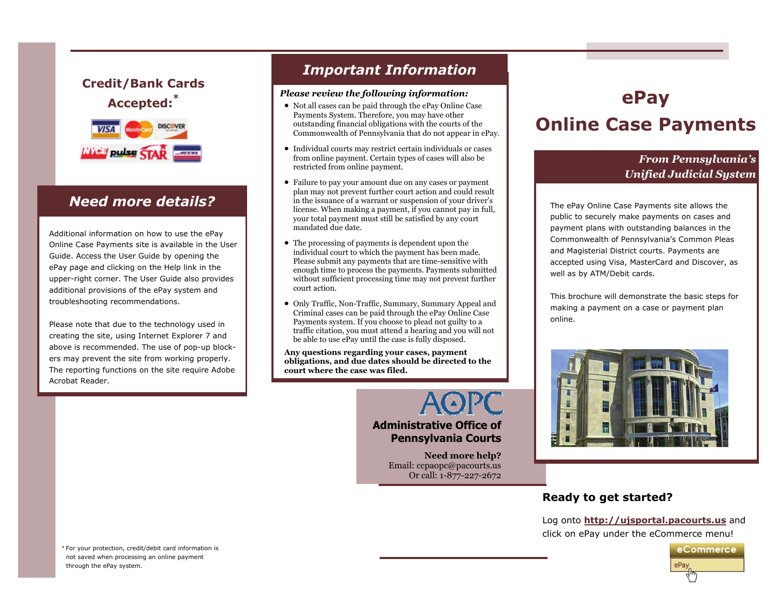### **Credit/Bank Cards Accepted:\***



Additional information on how to use the ePay Online Case Payments site is available in the User Guide. Access the User Guide by opening the ePay page and clicking on the Help link in the upper-right corner. The User Guide also provides additional provisions of the ePay system and troubleshooting recommendations.

Please note that due to the technology used in creating the site, using Internet Explorer 7 and above is recommended. The use of pop-up blockers may prevent the site from working properly. The reporting functions on the site require Adobe Acrobat Reader.

## *Important Information*

#### *Please review the following information:*

- Not all cases can be paid through the ePay Online Case Payments System. Therefore, you may have other outstanding financial obligations with the courts of the Commonwealth of Pennsylvania that do not appear in ePay.
- Individual courts may restrict certain individuals or cases from online payment. Certain types of cases will also be restricted from online payment.
- **Need more details?**  $\parallel$  in the issuance of a warrant or suspension of your driver's **The ePay Online Case Payments site allows** the • Failure to pay your amount due on any cases or payment plan may not prevent further court action and could result license. When making a payment, if you cannot pay in full, your total payment must still be satisfied by any court mandated due date.
	- The processing of payments is dependent upon the individual court to which the payment has been made. Please submit any payments that are time-sensitive with enough time to process the payments. Payments submitted without sufficient processing time may not prevent further court action.
	- Only Traffic, Non-Traffic, Summary, Summary Appeal and Criminal cases can be paid through the ePay Online Case Payments system. If you choose to plead not guilty to a traffic citation, you must attend a hearing and you will not be able to use ePay until the case is fully disposed.

**Any questions regarding your cases, payment obligations, and due dates should be directed to the court where the case was filed.**

#### **Administrative Office of Pennsylvania Courts**

**Need more help?**  Email: ccpaopc@pacourts.us Or call: 1-877-227-2672

# **ePay Online Case Payments**

### *From Pennsylvania's Unified Judicial System*

public to securely make payments on cases and payment plans with outstanding balances in the Commonwealth of Pennsylvania's Common Pleas and Magisterial District courts. Payments are accepted using Visa, MasterCard and Discover, as well as by ATM/Debit cards.

This brochure will demonstrate the basic steps for making a payment on a case or payment plan online.



#### **Ready to get started?**

Log onto **http://ujsportal.pacourts.us** and click on ePay under the eCommerce menu!



\* For your protection, credit/debit card information is not saved when processing an online payment through the ePay system.